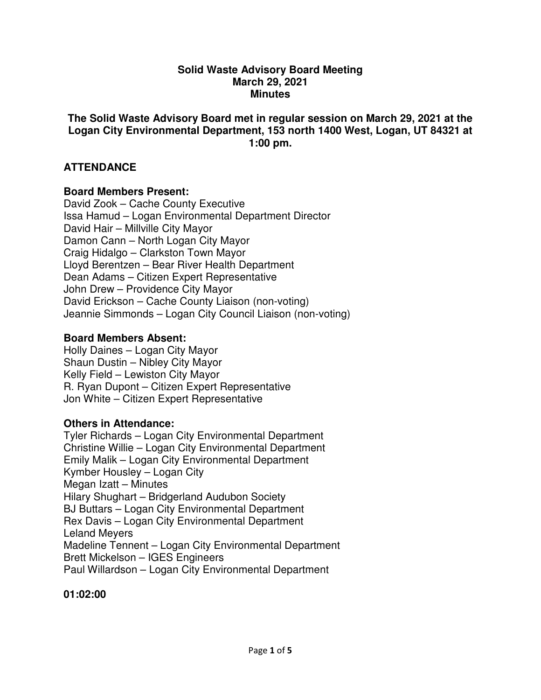#### **Solid Waste Advisory Board Meeting March 29, 2021 Minutes**

## **The Solid Waste Advisory Board met in regular session on March 29, 2021 at the Logan City Environmental Department, 153 north 1400 West, Logan, UT 84321 at 1:00 pm.**

# **ATTENDANCE**

## **Board Members Present:**

David Zook – Cache County Executive Issa Hamud – Logan Environmental Department Director David Hair – Millville City Mayor Damon Cann – North Logan City Mayor Craig Hidalgo – Clarkston Town Mayor Lloyd Berentzen – Bear River Health Department Dean Adams – Citizen Expert Representative John Drew – Providence City Mayor David Erickson – Cache County Liaison (non-voting) Jeannie Simmonds – Logan City Council Liaison (non-voting)

## **Board Members Absent:**

Holly Daines – Logan City Mayor Shaun Dustin – Nibley City Mayor Kelly Field – Lewiston City Mayor R. Ryan Dupont – Citizen Expert Representative Jon White – Citizen Expert Representative

### **Others in Attendance:**

Tyler Richards – Logan City Environmental Department Christine Willie – Logan City Environmental Department Emily Malik – Logan City Environmental Department Kymber Housley – Logan City Megan Izatt – Minutes Hilary Shughart – Bridgerland Audubon Society BJ Buttars – Logan City Environmental Department Rex Davis – Logan City Environmental Department Leland Meyers Madeline Tennent – Logan City Environmental Department Brett Mickelson – IGES Engineers Paul Willardson – Logan City Environmental Department

### **01:02:00**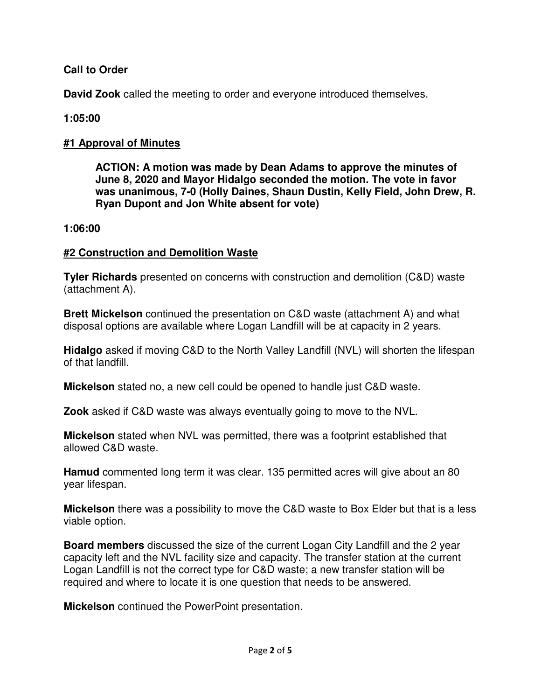# **Call to Order**

**David Zook** called the meeting to order and everyone introduced themselves.

# **1:05:00**

# **#1 Approval of Minutes**

**ACTION: A motion was made by Dean Adams to approve the minutes of June 8, 2020 and Mayor Hidalgo seconded the motion. The vote in favor was unanimous, 7-0 (Holly Daines, Shaun Dustin, Kelly Field, John Drew, R. Ryan Dupont and Jon White absent for vote)** 

## **1:06:00**

# **#2 Construction and Demolition Waste**

**Tyler Richards** presented on concerns with construction and demolition (C&D) waste (attachment A).

**Brett Mickelson** continued the presentation on C&D waste (attachment A) and what disposal options are available where Logan Landfill will be at capacity in 2 years.

**Hidalgo** asked if moving C&D to the North Valley Landfill (NVL) will shorten the lifespan of that landfill.

**Mickelson** stated no, a new cell could be opened to handle just C&D waste.

**Zook** asked if C&D waste was always eventually going to move to the NVL.

**Mickelson** stated when NVL was permitted, there was a footprint established that allowed C&D waste.

**Hamud** commented long term it was clear. 135 permitted acres will give about an 80 year lifespan.

**Mickelson** there was a possibility to move the C&D waste to Box Elder but that is a less viable option.

**Board members** discussed the size of the current Logan City Landfill and the 2 year capacity left and the NVL facility size and capacity. The transfer station at the current Logan Landfill is not the correct type for C&D waste; a new transfer station will be required and where to locate it is one question that needs to be answered.

**Mickelson** continued the PowerPoint presentation.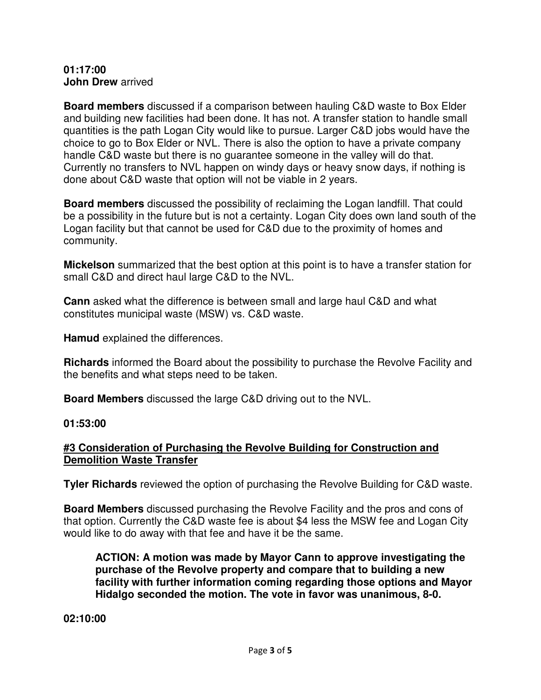#### **01:17:00 John Drew** arrived

**Board members** discussed if a comparison between hauling C&D waste to Box Elder and building new facilities had been done. It has not. A transfer station to handle small quantities is the path Logan City would like to pursue. Larger C&D jobs would have the choice to go to Box Elder or NVL. There is also the option to have a private company handle C&D waste but there is no guarantee someone in the valley will do that. Currently no transfers to NVL happen on windy days or heavy snow days, if nothing is done about C&D waste that option will not be viable in 2 years.

**Board members** discussed the possibility of reclaiming the Logan landfill. That could be a possibility in the future but is not a certainty. Logan City does own land south of the Logan facility but that cannot be used for C&D due to the proximity of homes and community.

**Mickelson** summarized that the best option at this point is to have a transfer station for small C&D and direct haul large C&D to the NVL.

**Cann** asked what the difference is between small and large haul C&D and what constitutes municipal waste (MSW) vs. C&D waste.

**Hamud** explained the differences.

**Richards** informed the Board about the possibility to purchase the Revolve Facility and the benefits and what steps need to be taken.

**Board Members** discussed the large C&D driving out to the NVL.

### **01:53:00**

# **#3 Consideration of Purchasing the Revolve Building for Construction and Demolition Waste Transfer**

**Tyler Richards** reviewed the option of purchasing the Revolve Building for C&D waste.

**Board Members** discussed purchasing the Revolve Facility and the pros and cons of that option. Currently the C&D waste fee is about \$4 less the MSW fee and Logan City would like to do away with that fee and have it be the same.

**ACTION: A motion was made by Mayor Cann to approve investigating the purchase of the Revolve property and compare that to building a new facility with further information coming regarding those options and Mayor Hidalgo seconded the motion. The vote in favor was unanimous, 8-0.** 

**02:10:00**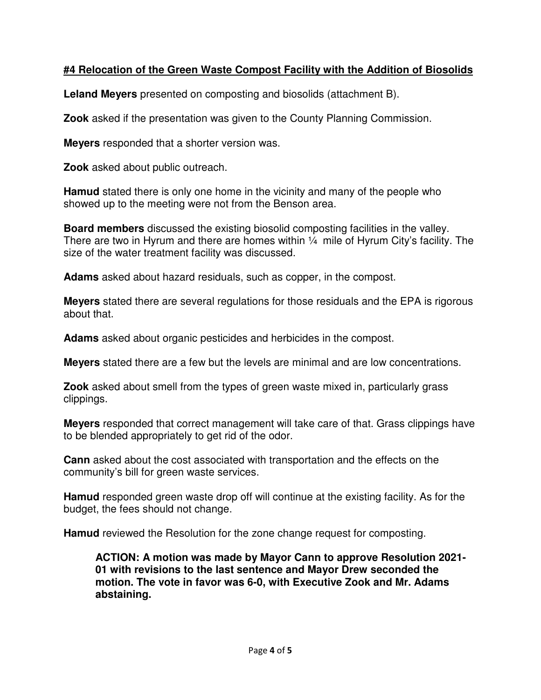# **#4 Relocation of the Green Waste Compost Facility with the Addition of Biosolids**

**Leland Meyers** presented on composting and biosolids (attachment B).

**Zook** asked if the presentation was given to the County Planning Commission.

**Meyers** responded that a shorter version was.

**Zook** asked about public outreach.

**Hamud** stated there is only one home in the vicinity and many of the people who showed up to the meeting were not from the Benson area.

**Board members** discussed the existing biosolid composting facilities in the valley. There are two in Hyrum and there are homes within  $\frac{1}{4}$  mile of Hyrum City's facility. The size of the water treatment facility was discussed.

**Adams** asked about hazard residuals, such as copper, in the compost.

**Meyers** stated there are several regulations for those residuals and the EPA is rigorous about that.

**Adams** asked about organic pesticides and herbicides in the compost.

**Meyers** stated there are a few but the levels are minimal and are low concentrations.

**Zook** asked about smell from the types of green waste mixed in, particularly grass clippings.

**Meyers** responded that correct management will take care of that. Grass clippings have to be blended appropriately to get rid of the odor.

**Cann** asked about the cost associated with transportation and the effects on the community's bill for green waste services.

**Hamud** responded green waste drop off will continue at the existing facility. As for the budget, the fees should not change.

**Hamud** reviewed the Resolution for the zone change request for composting.

**ACTION: A motion was made by Mayor Cann to approve Resolution 2021- 01 with revisions to the last sentence and Mayor Drew seconded the motion. The vote in favor was 6-0, with Executive Zook and Mr. Adams abstaining.**